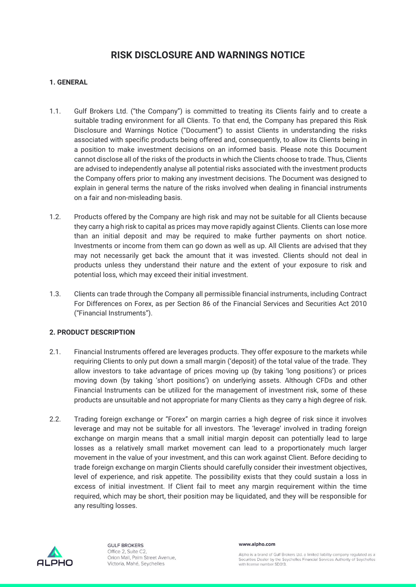# **RISK DISCLOSURE AND WARNINGS NOTICE**

# **1. GENERAL**

- 1.1. Gulf Brokers Ltd. ("the Company") is committed to treating its Clients fairly and to create a suitable trading environment for all Clients. To that end, the Company has prepared this Risk Disclosure and Warnings Notice ("Document") to assist Clients in understanding the risks associated with specific products being offered and, consequently, to allow its Clients being in a position to make investment decisions on an informed basis. Please note this Document cannot disclose all of the risks of the products in which the Clients choose to trade. Thus, Clients are advised to independently analyse all potential risks associated with the investment products the Company offers prior to making any investment decisions. The Document was designed to explain in general terms the nature of the risks involved when dealing in financial instruments on a fair and non-misleading basis.
- 1.2. Products offered by the Company are high risk and may not be suitable for all Clients because they carry a high risk to capital as prices may move rapidly against Clients. Clients can lose more than an initial deposit and may be required to make further payments on short notice. Investments or income from them can go down as well as up. All Clients are advised that they may not necessarily get back the amount that it was invested. Clients should not deal in products unless they understand their nature and the extent of your exposure to risk and potential loss, which may exceed their initial investment.
- 1.3. Clients can trade through the Company all permissible financial instruments, including Contract For Differences on Forex, as per Section 86 of the Financial Services and Securities Act 2010 ("Financial Instruments").

# **2. PRODUCT DESCRIPTION**

- 2.1. Financial Instruments offered are leverages products. They offer exposure to the markets while requiring Clients to only put down a small margin ('deposit) of the total value of the trade. They allow investors to take advantage of prices moving up (by taking 'long positions') or prices moving down (by taking 'short positions') on underlying assets. Although CFDs and other Financial Instruments can be utilized for the management of investment risk, some of these products are unsuitable and not appropriate for many Clients as they carry a high degree of risk.
- 2.2. Trading foreign exchange or "Forex" on margin carries a high degree of risk since it involves leverage and may not be suitable for all investors. The 'leverage' involved in trading foreign exchange on margin means that a small initial margin deposit can potentially lead to large losses as a relatively small market movement can lead to a proportionately much larger movement in the value of your investment, and this can work against Client. Before deciding to trade foreign exchange on margin Clients should carefully consider their investment objectives, level of experience, and risk appetite. The possibility exists that they could sustain a loss in excess of initial investment. If Client fail to meet any margin requirement within the time required, which may be short, their position may be liquidated, and they will be responsible for any resulting losses.



**GULF BROKERS** Office 2, Suite C2 Orion Mall, Palm Street Avenue, Victoria, Mahé, Seychelles

www.alpho.com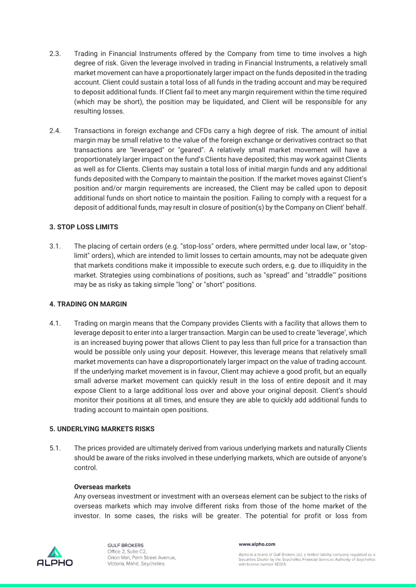- 2.3. Trading in Financial Instruments offered by the Company from time to time involves a high degree of risk. Given the leverage involved in trading in Financial Instruments, a relatively small market movement can have a proportionately larger impact on the funds deposited in the trading account. Client could sustain a total loss of all funds in the trading account and may be required to deposit additional funds. If Client fail to meet any margin requirement within the time required (which may be short), the position may be liquidated, and Client will be responsible for any resulting losses.
- 2.4. Transactions in foreign exchange and CFDs carry a high degree of risk. The amount of initial margin may be small relative to the value of the foreign exchange or derivatives contract so that transactions are "leveraged" or "geared". A relatively small market movement will have a proportionately larger impact on the fund's Clients have deposited; this may work against Clients as well as for Clients. Clients may sustain a total loss of initial margin funds and any additional funds deposited with the Company to maintain the position. If the market moves against Client's position and/or margin requirements are increased, the Client may be called upon to deposit additional funds on short notice to maintain the position. Failing to comply with a request for a deposit of additional funds, may result in closure of position(s) by the Company on Client' behalf.

# **3. STOP LOSS LIMITS**

3.1. The placing of certain orders (e.g. "stop-loss" orders, where permitted under local law, or "stoplimit" orders), which are intended to limit losses to certain amounts, may not be adequate given that markets conditions make it impossible to execute such orders, e.g. due to illiquidity in the market. Strategies using combinations of positions, such as "spread" and "straddle"' positions may be as risky as taking simple "long" or "short" positions.

### **4. TRADING ON MARGIN**

4.1. Trading on margin means that the Company provides Clients with a facility that allows them to leverage deposit to enter into a larger transaction. Margin can be used to create 'leverage', which is an increased buying power that allows Client to pay less than full price for a transaction than would be possible only using your deposit. However, this leverage means that relatively small market movements can have a disproportionately larger impact on the value of trading account. If the underlying market movement is in favour, Client may achieve a good profit, but an equally small adverse market movement can quickly result in the loss of entire deposit and it may expose Client to a large additional loss over and above your original deposit. Client's should monitor their positions at all times, and ensure they are able to quickly add additional funds to trading account to maintain open positions.

### **5. UNDERLYING MARKETS RISKS**

5.1. The prices provided are ultimately derived from various underlying markets and naturally Clients should be aware of the risks involved in these underlying markets, which are outside of anyone's control.

### **Overseas markets**

Any overseas investment or investment with an overseas element can be subject to the risks of overseas markets which may involve different risks from those of the home market of the investor. In some cases, the risks will be greater. The potential for profit or loss from



**GULF BROKERS** Office 2, Suite C2 Orion Mall, Palm Street Avenue, Victoria, Mahé, Seychelles

#### www.alpho.com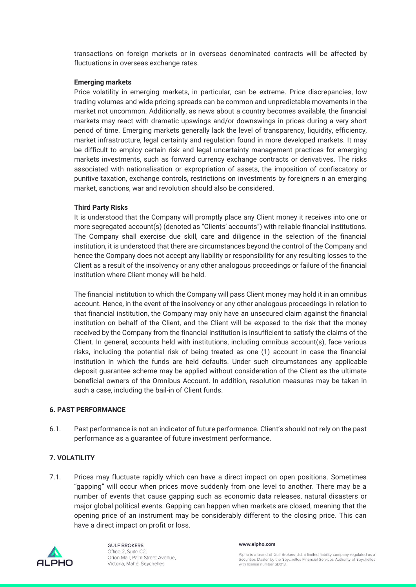transactions on foreign markets or in overseas denominated contracts will be affected by fluctuations in overseas exchange rates.

#### **Emerging markets**

Price volatility in emerging markets, in particular, can be extreme. Price discrepancies, low trading volumes and wide pricing spreads can be common and unpredictable movements in the market not uncommon. Additionally, as news about a country becomes available, the financial markets may react with dramatic upswings and/or downswings in prices during a very short period of time. Emerging markets generally lack the level of transparency, liquidity, efficiency, market infrastructure, legal certainty and regulation found in more developed markets. It may be difficult to employ certain risk and legal uncertainty management practices for emerging markets investments, such as forward currency exchange contracts or derivatives. The risks associated with nationalisation or expropriation of assets, the imposition of confiscatory or punitive taxation, exchange controls, restrictions on investments by foreigners n an emerging market, sanctions, war and revolution should also be considered.

#### **Third Party Risks**

It is understood that the Company will promptly place any Client money it receives into one or more segregated account(s) (denoted as "Clients' accounts") with reliable financial institutions. The Company shall exercise due skill, care and diligence in the selection of the financial institution, it is understood that there are circumstances beyond the control of the Company and hence the Company does not accept any liability or responsibility for any resulting losses to the Client as a result of the insolvency or any other analogous proceedings or failure of the financial institution where Client money will be held.

The financial institution to which the Company will pass Client money may hold it in an omnibus account. Hence, in the event of the insolvency or any other analogous proceedings in relation to that financial institution, the Company may only have an unsecured claim against the financial institution on behalf of the Client, and the Client will be exposed to the risk that the money received by the Company from the financial institution is insufficient to satisfy the claims of the Client. In general, accounts held with institutions, including omnibus account(s), face various risks, including the potential risk of being treated as one (1) account in case the financial institution in which the funds are held defaults. Under such circumstances any applicable deposit guarantee scheme may be applied without consideration of the Client as the ultimate beneficial owners of the Omnibus Account. In addition, resolution measures may be taken in such a case, including the bail-in of Client funds.

#### **6. PAST PERFORMANCE**

6.1. Past performance is not an indicator of future performance. Client's should not rely on the past performance as a guarantee of future investment performance.

### **7. VOLATILITY**

7.1. Prices may fluctuate rapidly which can have a direct impact on open positions. Sometimes "gapping" will occur when prices move suddenly from one level to another. There may be a number of events that cause gapping such as economic data releases, natural disasters or major global political events. Gapping can happen when markets are closed, meaning that the opening price of an instrument may be considerably different to the closing price. This can have a direct impact on profit or loss.



**GULF BROKERS** Office 2, Suite C2 Orion Mall, Palm Street Avenue, Victoria, Mahé, Seychelles

#### www.alpho.com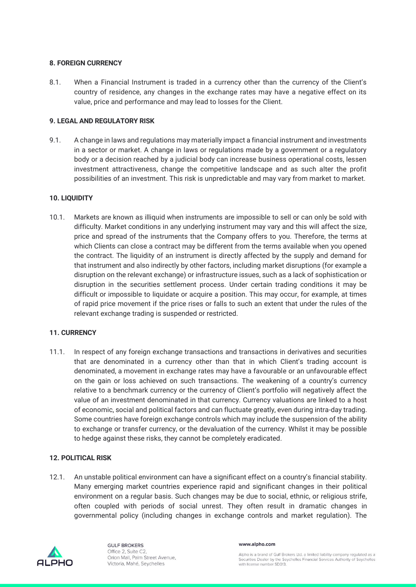# **8. FOREIGN CURRENCY**

8.1. When a Financial Instrument is traded in a currency other than the currency of the Client's country of residence, any changes in the exchange rates may have a negative effect on its value, price and performance and may lead to losses for the Client.

# **9. LEGAL AND REGULATORY RISK**

9.1. A change in laws and regulations may materially impact a financial instrument and investments in a sector or market. A change in laws or regulations made by a government or a regulatory body or a decision reached by a judicial body can increase business operational costs, lessen investment attractiveness, change the competitive landscape and as such alter the profit possibilities of an investment. This risk is unpredictable and may vary from market to market.

# **10. LIQUIDITY**

10.1. Markets are known as illiquid when instruments are impossible to sell or can only be sold with difficulty. Market conditions in any underlying instrument may vary and this will affect the size, price and spread of the instruments that the Company offers to you. Therefore, the terms at which Clients can close a contract may be different from the terms available when you opened the contract. The liquidity of an instrument is directly affected by the supply and demand for that instrument and also indirectly by other factors, including market disruptions (for example a disruption on the relevant exchange) or infrastructure issues, such as a lack of sophistication or disruption in the securities settlement process. Under certain trading conditions it may be difficult or impossible to liquidate or acquire a position. This may occur, for example, at times of rapid price movement if the price rises or falls to such an extent that under the rules of the relevant exchange trading is suspended or restricted.

### **11. CURRENCY**

11.1. In respect of any foreign exchange transactions and transactions in derivatives and securities that are denominated in a currency other than that in which Client's trading account is denominated, a movement in exchange rates may have a favourable or an unfavourable effect on the gain or loss achieved on such transactions. The weakening of a country's currency relative to a benchmark currency or the currency of Client's portfolio will negatively affect the value of an investment denominated in that currency. Currency valuations are linked to a host of economic, social and political factors and can fluctuate greatly, even during intra-day trading. Some countries have foreign exchange controls which may include the suspension of the ability to exchange or transfer currency, or the devaluation of the currency. Whilst it may be possible to hedge against these risks, they cannot be completely eradicated.

### **12. POLITICAL RISK**

12.1. An unstable political environment can have a significant effect on a country's financial stability. Many emerging market countries experience rapid and significant changes in their political environment on a regular basis. Such changes may be due to social, ethnic, or religious strife, often coupled with periods of social unrest. They often result in dramatic changes in governmental policy (including changes in exchange controls and market regulation). The



**GULF BROKERS** Office 2, Suite C2 Orion Mall, Palm Street Avenue, Victoria, Mahé, Seychelles

www.alpho.com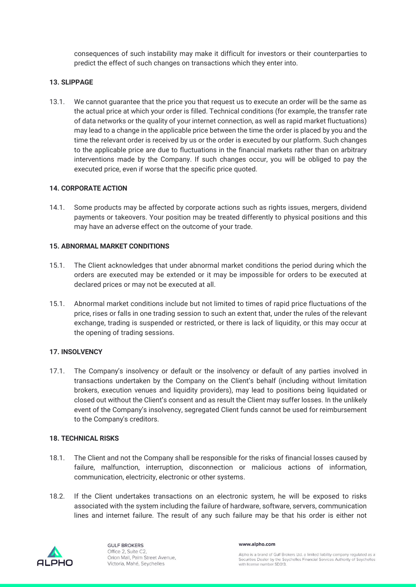consequences of such instability may make it difficult for investors or their counterparties to predict the effect of such changes on transactions which they enter into.

### **13. SLIPPAGE**

13.1. We cannot guarantee that the price you that request us to execute an order will be the same as the actual price at which your order is filled. Technical conditions (for example, the transfer rate of data networks or the quality of your internet connection, as well as rapid market fluctuations) may lead to a change in the applicable price between the time the order is placed by you and the time the relevant order is received by us or the order is executed by our platform. Such changes to the applicable price are due to fluctuations in the financial markets rather than on arbitrary interventions made by the Company. If such changes occur, you will be obliged to pay the executed price, even if worse that the specific price quoted.

# **14. CORPORATE ACTION**

14.1. Some products may be affected by corporate actions such as rights issues, mergers, dividend payments or takeovers. Your position may be treated differently to physical positions and this may have an adverse effect on the outcome of your trade.

# **15. ABNORMAL MARKET CONDITIONS**

- 15.1. The Client acknowledges that under abnormal market conditions the period during which the orders are executed may be extended or it may be impossible for orders to be executed at declared prices or may not be executed at all.
- 15.1. Abnormal market conditions include but not limited to times of rapid price fluctuations of the price, rises or falls in one trading session to such an extent that, under the rules of the relevant exchange, trading is suspended or restricted, or there is lack of liquidity, or this may occur at the opening of trading sessions.

# **17. INSOLVENCY**

17.1. The Company's insolvency or default or the insolvency or default of any parties involved in transactions undertaken by the Company on the Client's behalf (including without limitation brokers, execution venues and liquidity providers), may lead to positions being liquidated or closed out without the Client's consent and as result the Client may suffer losses. In the unlikely event of the Company's insolvency, segregated Client funds cannot be used for reimbursement to the Company's creditors.

### **18. TECHNICAL RISKS**

- 18.1. The Client and not the Company shall be responsible for the risks of financial losses caused by failure, malfunction, interruption, disconnection or malicious actions of information, communication, electricity, electronic or other systems.
- 18.2. If the Client undertakes transactions on an electronic system, he will be exposed to risks associated with the system including the failure of hardware, software, servers, communication lines and internet failure. The result of any such failure may be that his order is either not



**GULF BROKERS** Office 2, Suite C2 Orion Mall, Palm Street Avenue, Victoria, Mahé, Seychelles

www.alpho.com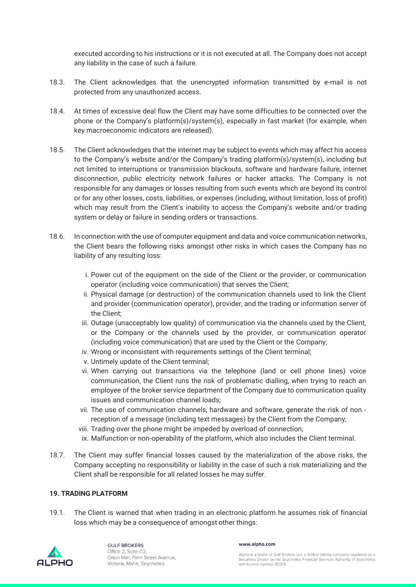executed according to his instructions or it is not executed at all. The Company does not accept any liability in the case of such a failure.

- 18.3. The Client acknowledges that the unencrypted information transmitted by e-mail is not protected from any unauthorized access.
- 18.4. At times of excessive deal flow the Client may have some difficulties to be connected over the phone or the Company's platform(s)/system(s), especially in fast market (for example, when key macroeconomic indicators are released).
- 18.5. The Client acknowledges that the internet may be subject to events which may affect his access to the Company's website and/or the Company's trading platform(s)/system(s), including but not limited to interruptions or transmission blackouts, software and hardware failure, internet disconnection, public electricity network failures or hacker attacks. The Company is not responsible for any damages or losses resulting from such events which are beyond its control or for any other losses, costs, liabilities, or expenses (including, without limitation, loss of profit) which may result from the Client's inability to access the Company's website and/or trading system or delay or failure in sending orders or transactions.
- 18.6. In connection with the use of computer equipment and data and voice communication networks, the Client bears the following risks amongst other risks in which cases the Company has no liability of any resulting loss:
	- i. Power cut of the equipment on the side of the Client or the provider, or communication operator (including voice communication) that serves the Client;
	- ii. Physical damage (or destruction) of the communication channels used to link the Client and provider (communication operator), provider, and the trading or information server of the Client;
	- iii. Outage (unacceptably low quality) of communication via the channels used by the Client, or the Company or the channels used by the provider, or communication operator (including voice communication) that are used by the Client or the Company;
	- iv. Wrong or inconsistent with requirements settings of the Client terminal;
	- v. Untimely update of the Client terminal;
	- vi. When carrying out transactions via the telephone (land or cell phone lines) voice communication, the Client runs the risk of problematic dialling, when trying to reach an employee of the broker service department of the Company due to communication quality issues and communication channel loads;
	- vii. The use of communication channels, hardware and software, generate the risk of non reception of a message (including text messages) by the Client from the Company;
	- viii. Trading over the phone might be impeded by overload of connection;
	- ix. Malfunction or non-operability of the platform, which also includes the Client terminal.
- 18.7. The Client may suffer financial losses caused by the materialization of the above risks, the Company accepting no responsibility or liability in the case of such a risk materializing and the Client shall be responsible for all related losses he may suffer.

### **19. TRADING PLATFORM**

19.1. The Client is warned that when trading in an electronic platform he assumes risk of financial loss which may be a consequence of amongst other things:



**GULF BROKERS** Office 2, Suite C2 Orion Mall, Palm Street Avenue, Victoria, Mahé, Seychelles

#### www.alpho.com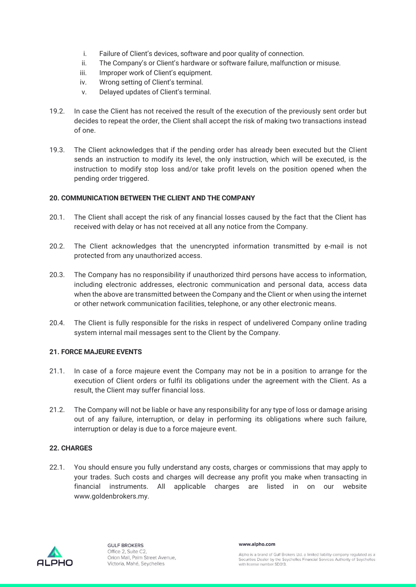- i. Failure of Client's devices, software and poor quality of connection.
- ii. The Company's or Client's hardware or software failure, malfunction or misuse.
- iii. Improper work of Client's equipment.
- iv. Wrong setting of Client's terminal.
- v. Delayed updates of Client's terminal.
- 19.2. In case the Client has not received the result of the execution of the previously sent order but decides to repeat the order, the Client shall accept the risk of making two transactions instead of one.
- 19.3. The Client acknowledges that if the pending order has already been executed but the Client sends an instruction to modify its level, the only instruction, which will be executed, is the instruction to modify stop loss and/or take profit levels on the position opened when the pending order triggered.

# **20. COMMUNICATION BETWEEN THE CLIENT AND THE COMPANY**

- 20.1. The Client shall accept the risk of any financial losses caused by the fact that the Client has received with delay or has not received at all any notice from the Company.
- 20.2. The Client acknowledges that the unencrypted information transmitted by e-mail is not protected from any unauthorized access.
- 20.3. The Company has no responsibility if unauthorized third persons have access to information, including electronic addresses, electronic communication and personal data, access data when the above are transmitted between the Company and the Client or when using the internet or other network communication facilities, telephone, or any other electronic means.
- 20.4. The Client is fully responsible for the risks in respect of undelivered Company online trading system internal mail messages sent to the Client by the Company.

# **21. FORCE MAJEURE EVENTS**

- 21.1. In case of a force majeure event the Company may not be in a position to arrange for the execution of Client orders or fulfil its obligations under the agreement with the Client. As a result, the Client may suffer financial loss.
- 21.2. The Company will not be liable or have any responsibility for any type of loss or damage arising out of any failure, interruption, or delay in performing its obligations where such failure, interruption or delay is due to a force majeure event.

### **22. CHARGES**

22.1. You should ensure you fully understand any costs, charges or commissions that may apply to your trades. Such costs and charges will decrease any profit you make when transacting in financial instruments. All applicable charges are listed in on our website www.goldenbrokers.my.



www.alpho.com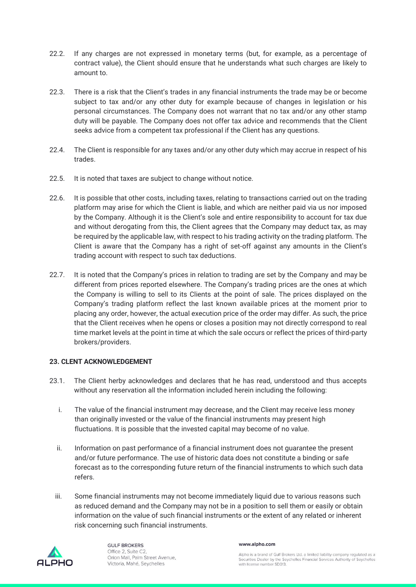- 22.2. If any charges are not expressed in monetary terms (but, for example, as a percentage of contract value), the Client should ensure that he understands what such charges are likely to amount to.
- 22.3. There is a risk that the Client's trades in any financial instruments the trade may be or become subject to tax and/or any other duty for example because of changes in legislation or his personal circumstances. The Company does not warrant that no tax and/or any other stamp duty will be payable. The Company does not offer tax advice and recommends that the Client seeks advice from a competent tax professional if the Client has any questions.
- 22.4. The Client is responsible for any taxes and/or any other duty which may accrue in respect of his trades.
- 22.5. It is noted that taxes are subject to change without notice.
- 22.6. It is possible that other costs, including taxes, relating to transactions carried out on the trading platform may arise for which the Client is liable, and which are neither paid via us nor imposed by the Company. Although it is the Client's sole and entire responsibility to account for tax due and without derogating from this, the Client agrees that the Company may deduct tax, as may be required by the applicable law, with respect to his trading activity on the trading platform. The Client is aware that the Company has a right of set-off against any amounts in the Client's trading account with respect to such tax deductions.
- 22.7. It is noted that the Company's prices in relation to trading are set by the Company and may be different from prices reported elsewhere. The Company's trading prices are the ones at which the Company is willing to sell to its Clients at the point of sale. The prices displayed on the Company's trading platform reflect the last known available prices at the moment prior to placing any order, however, the actual execution price of the order may differ. As such, the price that the Client receives when he opens or closes a position may not directly correspond to real time market levels at the point in time at which the sale occurs or reflect the prices of third-party brokers/providers.

# **23. CLENT ACKNOWLEDGEMENT**

- 23.1. The Client herby acknowledges and declares that he has read, understood and thus accepts without any reservation all the information included herein including the following:
	- i. The value of the financial instrument may decrease, and the Client may receive less money than originally invested or the value of the financial instruments may present high fluctuations. It is possible that the invested capital may become of no value.
	- ii. Information on past performance of a financial instrument does not guarantee the present and/or future performance. The use of historic data does not constitute a binding or safe forecast as to the corresponding future return of the financial instruments to which such data refers.
	- iii. Some financial instruments may not become immediately liquid due to various reasons such as reduced demand and the Company may not be in a position to sell them or easily or obtain information on the value of such financial instruments or the extent of any related or inherent risk concerning such financial instruments.



**GULF BROKERS** Office 2, Suite C2 Orion Mall, Palm Street Avenue, Victoria, Mahé, Seychelles

#### www.alpho.com